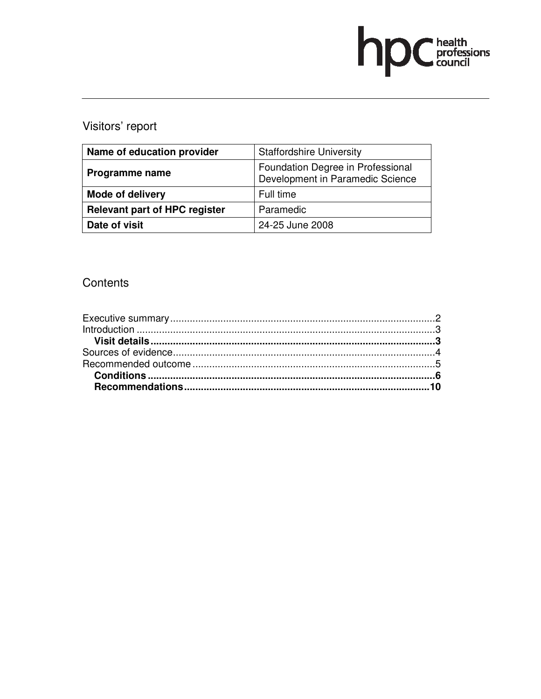# hp Chealth

# Visitors' report

| Name of education provider           | <b>Staffordshire University</b>                                       |
|--------------------------------------|-----------------------------------------------------------------------|
| Programme name                       | Foundation Degree in Professional<br>Development in Paramedic Science |
| <b>Mode of delivery</b>              | Full time                                                             |
| <b>Relevant part of HPC register</b> | Paramedic                                                             |
| Date of visit                        | 24-25 June 2008                                                       |

# **Contents**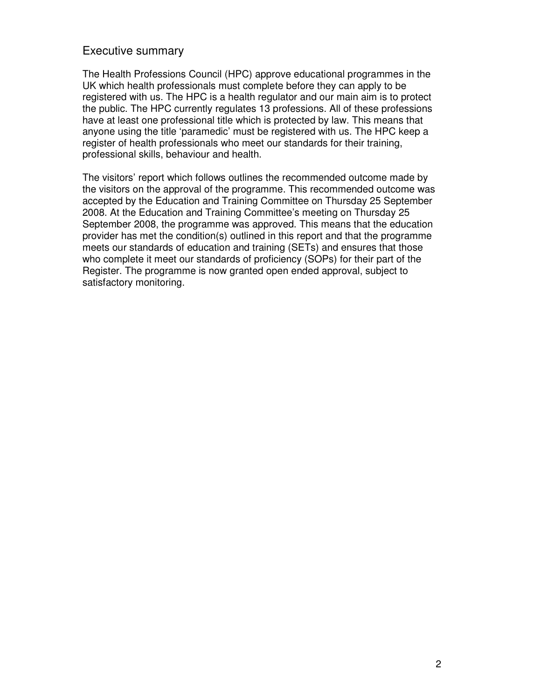#### Executive summary

The Health Professions Council (HPC) approve educational programmes in the UK which health professionals must complete before they can apply to be registered with us. The HPC is a health regulator and our main aim is to protect the public. The HPC currently regulates 13 professions. All of these professions have at least one professional title which is protected by law. This means that anyone using the title 'paramedic' must be registered with us. The HPC keep a register of health professionals who meet our standards for their training, professional skills, behaviour and health.

The visitors' report which follows outlines the recommended outcome made by the visitors on the approval of the programme. This recommended outcome was accepted by the Education and Training Committee on Thursday 25 September 2008. At the Education and Training Committee's meeting on Thursday 25 September 2008, the programme was approved. This means that the education provider has met the condition(s) outlined in this report and that the programme meets our standards of education and training (SETs) and ensures that those who complete it meet our standards of proficiency (SOPs) for their part of the Register. The programme is now granted open ended approval, subject to satisfactory monitoring.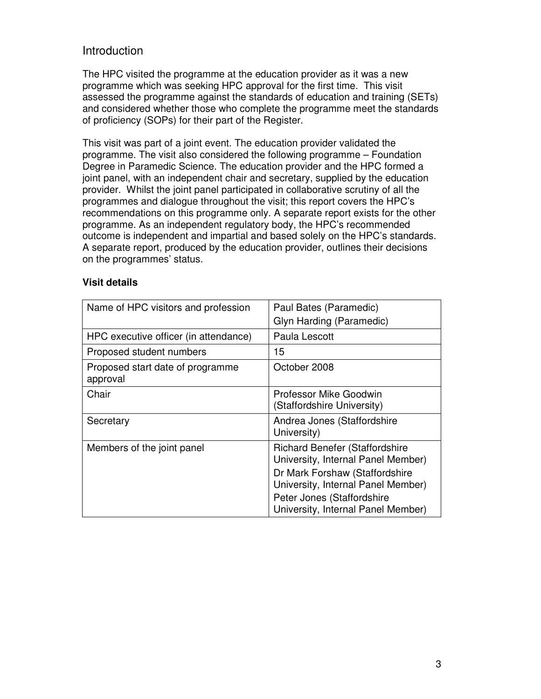### Introduction

The HPC visited the programme at the education provider as it was a new programme which was seeking HPC approval for the first time. This visit assessed the programme against the standards of education and training (SETs) and considered whether those who complete the programme meet the standards of proficiency (SOPs) for their part of the Register.

This visit was part of a joint event. The education provider validated the programme. The visit also considered the following programme – Foundation Degree in Paramedic Science. The education provider and the HPC formed a joint panel, with an independent chair and secretary, supplied by the education provider. Whilst the joint panel participated in collaborative scrutiny of all the programmes and dialogue throughout the visit; this report covers the HPC's recommendations on this programme only. A separate report exists for the other programme. As an independent regulatory body, the HPC's recommended outcome is independent and impartial and based solely on the HPC's standards. A separate report, produced by the education provider, outlines their decisions on the programmes' status.

#### **Visit details**

| Name of HPC visitors and profession          | Paul Bates (Paramedic)                                                      |
|----------------------------------------------|-----------------------------------------------------------------------------|
|                                              | Glyn Harding (Paramedic)                                                    |
| HPC executive officer (in attendance)        | Paula Lescott                                                               |
| Proposed student numbers                     | 15                                                                          |
| Proposed start date of programme<br>approval | October 2008                                                                |
| Chair                                        | Professor Mike Goodwin<br>(Staffordshire University)                        |
| Secretary                                    | Andrea Jones (Staffordshire<br>University)                                  |
| Members of the joint panel                   | <b>Richard Benefer (Staffordshire</b><br>University, Internal Panel Member) |
|                                              | Dr Mark Forshaw (Staffordshire<br>University, Internal Panel Member)        |
|                                              | Peter Jones (Staffordshire                                                  |
|                                              | University, Internal Panel Member)                                          |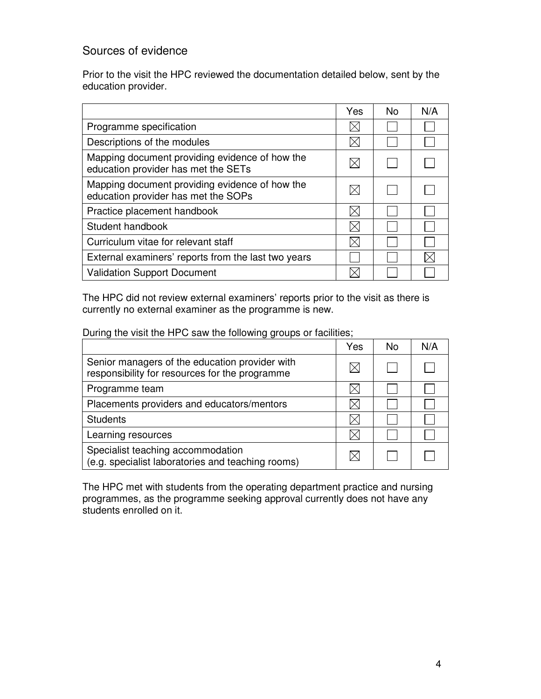# Sources of evidence

Prior to the visit the HPC reviewed the documentation detailed below, sent by the education provider.

|                                                                                       | Yes | No. | N/A |
|---------------------------------------------------------------------------------------|-----|-----|-----|
| Programme specification                                                               |     |     |     |
| Descriptions of the modules                                                           |     |     |     |
| Mapping document providing evidence of how the<br>education provider has met the SETs |     |     |     |
| Mapping document providing evidence of how the<br>education provider has met the SOPs |     |     |     |
| Practice placement handbook                                                           |     |     |     |
| Student handbook                                                                      |     |     |     |
| Curriculum vitae for relevant staff                                                   |     |     |     |
| External examiners' reports from the last two years                                   |     |     |     |
| <b>Validation Support Document</b>                                                    |     |     |     |

The HPC did not review external examiners' reports prior to the visit as there is currently no external examiner as the programme is new.

During the visit the HPC saw the following groups or facilities;

|                                                                                                  | Yes | No | N/A |
|--------------------------------------------------------------------------------------------------|-----|----|-----|
| Senior managers of the education provider with<br>responsibility for resources for the programme |     |    |     |
| Programme team                                                                                   |     |    |     |
| Placements providers and educators/mentors                                                       |     |    |     |
| <b>Students</b>                                                                                  |     |    |     |
| Learning resources                                                                               |     |    |     |
| Specialist teaching accommodation<br>(e.g. specialist laboratories and teaching rooms)           |     |    |     |

The HPC met with students from the operating department practice and nursing programmes, as the programme seeking approval currently does not have any students enrolled on it.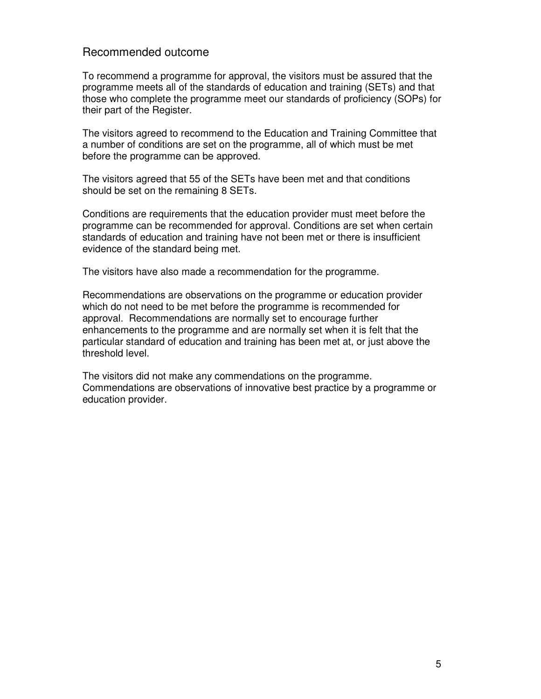#### Recommended outcome

To recommend a programme for approval, the visitors must be assured that the programme meets all of the standards of education and training (SETs) and that those who complete the programme meet our standards of proficiency (SOPs) for their part of the Register.

The visitors agreed to recommend to the Education and Training Committee that a number of conditions are set on the programme, all of which must be met before the programme can be approved.

The visitors agreed that 55 of the SETs have been met and that conditions should be set on the remaining 8 SETs.

Conditions are requirements that the education provider must meet before the programme can be recommended for approval. Conditions are set when certain standards of education and training have not been met or there is insufficient evidence of the standard being met.

The visitors have also made a recommendation for the programme.

Recommendations are observations on the programme or education provider which do not need to be met before the programme is recommended for approval. Recommendations are normally set to encourage further enhancements to the programme and are normally set when it is felt that the particular standard of education and training has been met at, or just above the threshold level.

The visitors did not make any commendations on the programme. Commendations are observations of innovative best practice by a programme or education provider.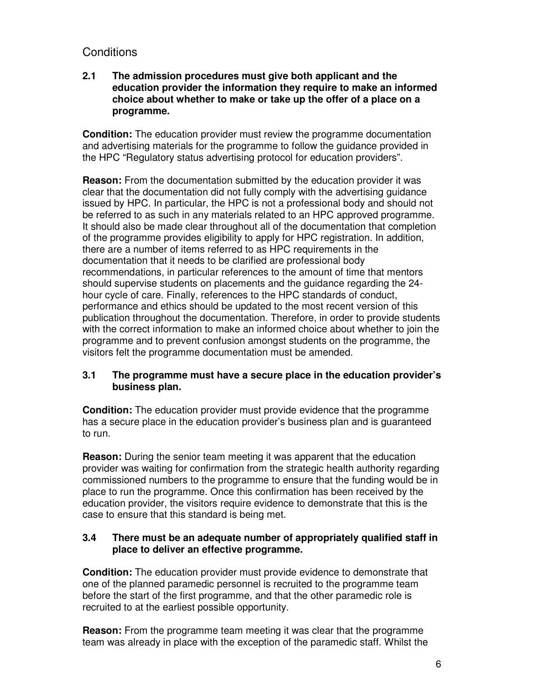# **Conditions**

#### **2.1 The admission procedures must give both applicant and the education provider the information they require to make an informed choice about whether to make or take up the offer of a place on a programme.**

**Condition:** The education provider must review the programme documentation and advertising materials for the programme to follow the guidance provided in the HPC "Regulatory status advertising protocol for education providers".

**Reason:** From the documentation submitted by the education provider it was clear that the documentation did not fully comply with the advertising guidance issued by HPC. In particular, the HPC is not a professional body and should not be referred to as such in any materials related to an HPC approved programme. It should also be made clear throughout all of the documentation that completion of the programme provides eligibility to apply for HPC registration. In addition, there are a number of items referred to as HPC requirements in the documentation that it needs to be clarified are professional body recommendations, in particular references to the amount of time that mentors should supervise students on placements and the guidance regarding the 24 hour cycle of care. Finally, references to the HPC standards of conduct, performance and ethics should be updated to the most recent version of this publication throughout the documentation. Therefore, in order to provide students with the correct information to make an informed choice about whether to join the programme and to prevent confusion amongst students on the programme, the visitors felt the programme documentation must be amended.

#### **3.1 The programme must have a secure place in the education provider's business plan.**

**Condition:** The education provider must provide evidence that the programme has a secure place in the education provider's business plan and is guaranteed to run.

**Reason:** During the senior team meeting it was apparent that the education provider was waiting for confirmation from the strategic health authority regarding commissioned numbers to the programme to ensure that the funding would be in place to run the programme. Once this confirmation has been received by the education provider, the visitors require evidence to demonstrate that this is the case to ensure that this standard is being met.

#### **3.4 There must be an adequate number of appropriately qualified staff in place to deliver an effective programme.**

**Condition:** The education provider must provide evidence to demonstrate that one of the planned paramedic personnel is recruited to the programme team before the start of the first programme, and that the other paramedic role is recruited to at the earliest possible opportunity.

**Reason:** From the programme team meeting it was clear that the programme team was already in place with the exception of the paramedic staff. Whilst the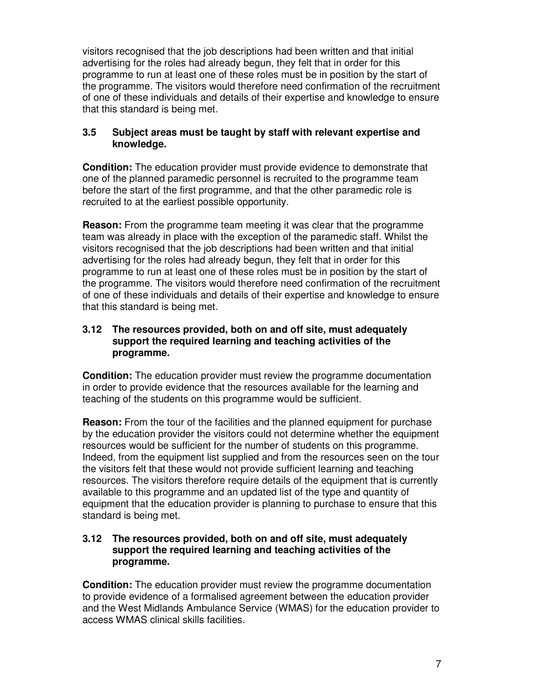visitors recognised that the job descriptions had been written and that initial advertising for the roles had already begun, they felt that in order for this programme to run at least one of these roles must be in position by the start of the programme. The visitors would therefore need confirmation of the recruitment of one of these individuals and details of their expertise and knowledge to ensure that this standard is being met.

#### **3.5 Subject areas must be taught by staff with relevant expertise and knowledge.**

**Condition:** The education provider must provide evidence to demonstrate that one of the planned paramedic personnel is recruited to the programme team before the start of the first programme, and that the other paramedic role is recruited to at the earliest possible opportunity.

**Reason:** From the programme team meeting it was clear that the programme team was already in place with the exception of the paramedic staff. Whilst the visitors recognised that the job descriptions had been written and that initial advertising for the roles had already begun, they felt that in order for this programme to run at least one of these roles must be in position by the start of the programme. The visitors would therefore need confirmation of the recruitment of one of these individuals and details of their expertise and knowledge to ensure that this standard is being met.

#### **3.12 The resources provided, both on and off site, must adequately support the required learning and teaching activities of the programme.**

**Condition:** The education provider must review the programme documentation in order to provide evidence that the resources available for the learning and teaching of the students on this programme would be sufficient.

**Reason:** From the tour of the facilities and the planned equipment for purchase by the education provider the visitors could not determine whether the equipment resources would be sufficient for the number of students on this programme. Indeed, from the equipment list supplied and from the resources seen on the tour the visitors felt that these would not provide sufficient learning and teaching resources. The visitors therefore require details of the equipment that is currently available to this programme and an updated list of the type and quantity of equipment that the education provider is planning to purchase to ensure that this standard is being met.

#### **3.12 The resources provided, both on and off site, must adequately support the required learning and teaching activities of the programme.**

**Condition:** The education provider must review the programme documentation to provide evidence of a formalised agreement between the education provider and the West Midlands Ambulance Service (WMAS) for the education provider to access WMAS clinical skills facilities.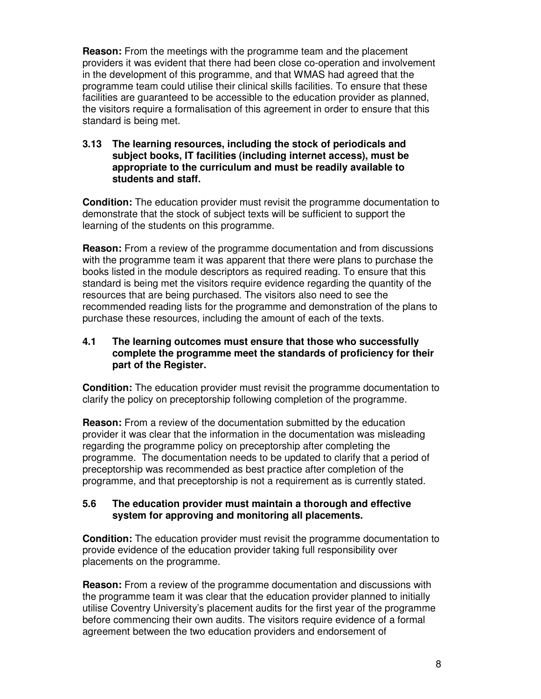**Reason:** From the meetings with the programme team and the placement providers it was evident that there had been close co-operation and involvement in the development of this programme, and that WMAS had agreed that the programme team could utilise their clinical skills facilities. To ensure that these facilities are guaranteed to be accessible to the education provider as planned, the visitors require a formalisation of this agreement in order to ensure that this standard is being met.

#### **3.13 The learning resources, including the stock of periodicals and subject books, IT facilities (including internet access), must be appropriate to the curriculum and must be readily available to students and staff.**

**Condition:** The education provider must revisit the programme documentation to demonstrate that the stock of subject texts will be sufficient to support the learning of the students on this programme.

**Reason:** From a review of the programme documentation and from discussions with the programme team it was apparent that there were plans to purchase the books listed in the module descriptors as required reading. To ensure that this standard is being met the visitors require evidence regarding the quantity of the resources that are being purchased. The visitors also need to see the recommended reading lists for the programme and demonstration of the plans to purchase these resources, including the amount of each of the texts.

#### **4.1 The learning outcomes must ensure that those who successfully complete the programme meet the standards of proficiency for their part of the Register.**

**Condition:** The education provider must revisit the programme documentation to clarify the policy on preceptorship following completion of the programme.

**Reason:** From a review of the documentation submitted by the education provider it was clear that the information in the documentation was misleading regarding the programme policy on preceptorship after completing the programme. The documentation needs to be updated to clarify that a period of preceptorship was recommended as best practice after completion of the programme, and that preceptorship is not a requirement as is currently stated.

#### **5.6 The education provider must maintain a thorough and effective system for approving and monitoring all placements.**

**Condition:** The education provider must revisit the programme documentation to provide evidence of the education provider taking full responsibility over placements on the programme.

**Reason:** From a review of the programme documentation and discussions with the programme team it was clear that the education provider planned to initially utilise Coventry University's placement audits for the first year of the programme before commencing their own audits. The visitors require evidence of a formal agreement between the two education providers and endorsement of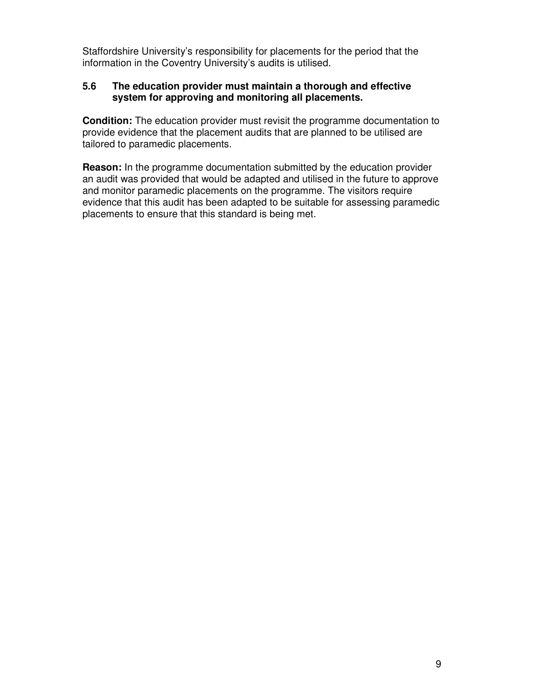Staffordshire University's responsibility for placements for the period that the information in the Coventry University's audits is utilised.

#### **5.6 The education provider must maintain a thorough and effective system for approving and monitoring all placements.**

**Condition:** The education provider must revisit the programme documentation to provide evidence that the placement audits that are planned to be utilised are tailored to paramedic placements.

**Reason:** In the programme documentation submitted by the education provider an audit was provided that would be adapted and utilised in the future to approve and monitor paramedic placements on the programme. The visitors require evidence that this audit has been adapted to be suitable for assessing paramedic placements to ensure that this standard is being met.